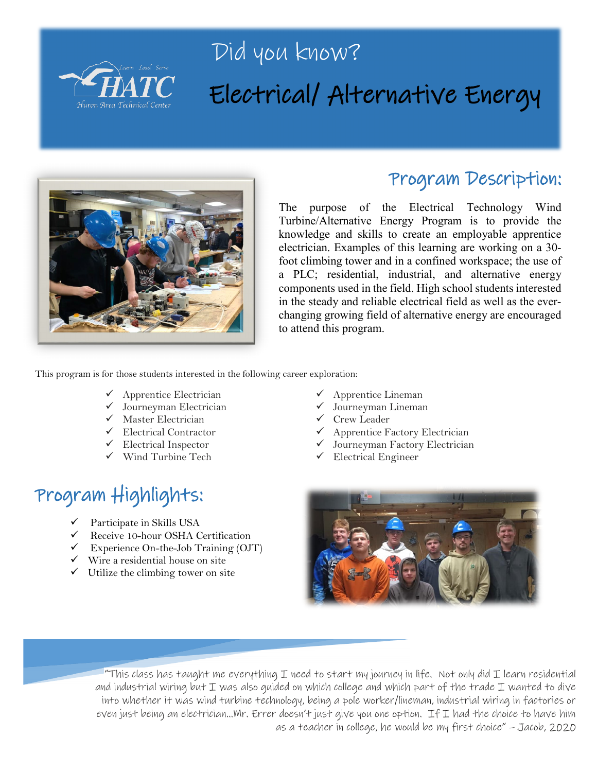

## Did you know? Electrical/ Alternative Energy



### Program Description:

The purpose of the Electrical Technology Wind Turbine/Alternative Energy Program is to provide the knowledge and skills to create an employable apprentice electrician. Examples of this learning are working on a 30 foot climbing tower and in a confined workspace; the use of a PLC; residential, industrial, and alternative energy components used in the field. High school students interested in the steady and reliable electrical field as well as the everchanging growing field of alternative energy are encouraged to attend this program.

This program is for those students interested in the following career exploration:

- $\checkmark$  Apprentice Electrician
- $\checkmark$  Journeyman Electrician
- $\checkmark$  Master Electrician
- Electrical Contractor
- $\checkmark$  Electrical Inspector
- $\checkmark$  Wind Turbine Tech

## Program Highlights:

- Participate in Skills USA
- $\checkmark$  Receive 10-hour OSHA Certification
- $\checkmark$  Experience On-the-Job Training (OJT)
- $\checkmark$  Wire a residential house on site
- $\checkmark$  Utilize the climbing tower on site
- Apprentice Lineman
- Journeyman Lineman
- Crew Leader
- Apprentice Factory Electrician
- Journeyman Factory Electrician
- Electrical Engineer



"This class has taught me everything I need to start my journey in life. Not only did I learn residential and industrial wiring but I was also guided on which college and which part of the trade I wanted to dive into whether it was wind turbine technology, being a pole worker/lineman, industrial wiring in factories or even just being an electrician…Mr. Errer doesn't just give you one option. If I had the choice to have him as a teacher in college, he would be my first choice" – Jacob, 2020